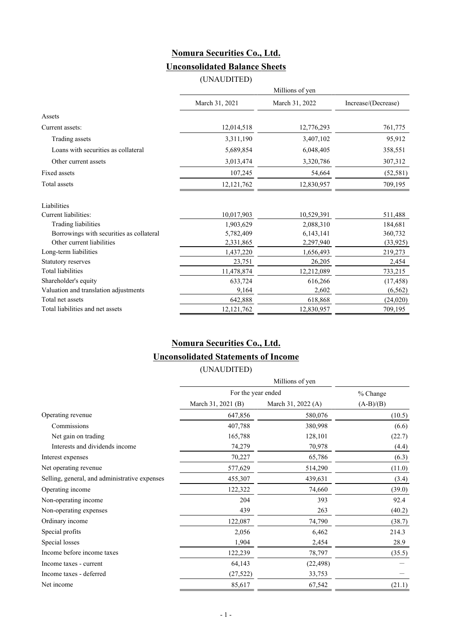## **Nomura Securities Co., Ltd. Unconsolidated Balance Sheets**

(UNAUDITED)

|                                          | Millions of yen |                |                     |  |
|------------------------------------------|-----------------|----------------|---------------------|--|
|                                          | March 31, 2021  | March 31, 2022 | Increase/(Decrease) |  |
| Assets                                   |                 |                |                     |  |
| Current assets:                          | 12,014,518      | 12,776,293     | 761,775             |  |
| Trading assets                           | 3,311,190       | 3,407,102      | 95,912              |  |
| Loans with securities as collateral      | 5,689,854       | 6,048,405      | 358,551             |  |
| Other current assets                     | 3,013,474       | 3,320,786      | 307,312             |  |
| Fixed assets                             | 107,245         | 54,664         | (52, 581)           |  |
| Total assets                             | 12,121,762      | 12,830,957     | 709,195             |  |
| Liabilities                              |                 |                |                     |  |
| Current liabilities:                     | 10,017,903      | 10,529,391     | 511,488             |  |
| Trading liabilities                      | 1,903,629       | 2,088,310      | 184,681             |  |
| Borrowings with securities as collateral | 5,782,409       | 6,143,141      | 360,732             |  |
| Other current liabilities                | 2,331,865       | 2,297,940      | (33, 925)           |  |
| Long-term liabilities                    | 1,437,220       | 1,656,493      | 219,273             |  |
| Statutory reserves                       | 23,751          | 26,205         | 2,454               |  |
| <b>Total liabilities</b>                 | 11,478,874      | 12,212,089     | 733,215             |  |
| Shareholder's equity                     | 633,724         | 616,266        | (17, 458)           |  |
| Valuation and translation adjustments    | 9,164           | 2,602          | (6, 562)            |  |
| Total net assets                         | 642,888         | 618,868        | (24, 020)           |  |
| Total liabilities and net assets         | 12, 121, 762    | 12,830,957     | 709,195             |  |

## **Nomura Securities Co., Ltd. Unconsolidated Statements of Income**

(UNAUDITED)

|                                               |                    | Millions of yen    |             |  |  |  |
|-----------------------------------------------|--------------------|--------------------|-------------|--|--|--|
|                                               | For the year ended | % Change           |             |  |  |  |
|                                               | March 31, 2021 (B) | March 31, 2022 (A) | $(A-B)/(B)$ |  |  |  |
| Operating revenue                             | 647,856            | 580,076            | (10.5)      |  |  |  |
| Commissions                                   | 407,788            | 380,998            | (6.6)       |  |  |  |
| Net gain on trading                           | 165,788            | 128,101            | (22.7)      |  |  |  |
| Interests and dividends income                | 74,279             | 70,978             | (4.4)       |  |  |  |
| Interest expenses                             | 70,227             | 65,786             | (6.3)       |  |  |  |
| Net operating revenue                         | 577,629            | 514,290            | (11.0)      |  |  |  |
| Selling, general, and administrative expenses | 455,307            | 439,631            | (3.4)       |  |  |  |
| Operating income                              | 122,322            | 74,660             | (39.0)      |  |  |  |
| Non-operating income                          | 204                | 393                | 92.4        |  |  |  |
| Non-operating expenses                        | 439                | 263                | (40.2)      |  |  |  |
| Ordinary income                               | 122,087            | 74,790             | (38.7)      |  |  |  |
| Special profits                               | 2,056              | 6,462              | 214.3       |  |  |  |
| Special losses                                | 1,904              | 2,454              | 28.9        |  |  |  |
| Income before income taxes                    | 122,239            | 78,797             | (35.5)      |  |  |  |
| Income taxes - current                        | 64,143             | (22, 498)          |             |  |  |  |
| Income taxes - deferred                       | (27, 522)          | 33,753             |             |  |  |  |
| Net income                                    | 85,617             | 67,542             | (21.1)      |  |  |  |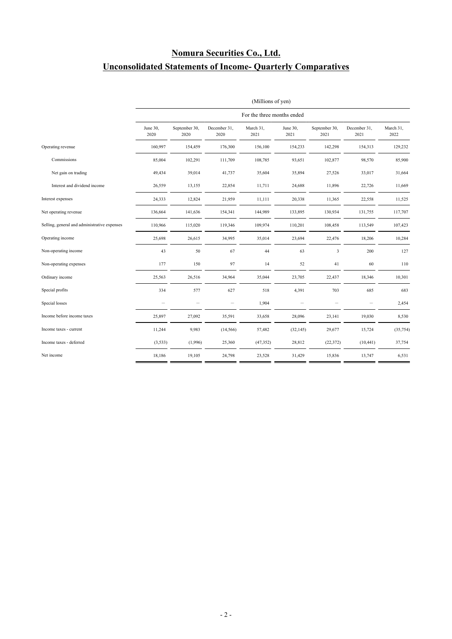## **Nomura Securities Co., Ltd. Unconsolidated Statements of Income- Quarterly Comparatives**

|                                              | (Millions of yen)        |                            |                      |                   |                  |                       |                      |                   |
|----------------------------------------------|--------------------------|----------------------------|----------------------|-------------------|------------------|-----------------------|----------------------|-------------------|
|                                              |                          | For the three months ended |                      |                   |                  |                       |                      |                   |
|                                              | June 30,<br>2020         | September 30,<br>2020      | December 31,<br>2020 | March 31,<br>2021 | June 30,<br>2021 | September 30,<br>2021 | December 31,<br>2021 | March 31,<br>2022 |
| Operating revenue                            | 160,997                  | 154,459                    | 176,300              | 156,100           | 154,233          | 142,298               | 154,313              | 129,232           |
| Commissions                                  | 85,004                   | 102,291                    | 111,709              | 108,785           | 93,651           | 102,877               | 98,570               | 85,900            |
| Net gain on trading                          | 49,434                   | 39,014                     | 41,737               | 35,604            | 35,894           | 27,526                | 33,017               | 31,664            |
| Interest and dividend income                 | 26,559                   | 13,155                     | 22,854               | 11,711            | 24,688           | 11,896                | 22,726               | 11,669            |
| Interest expenses                            | 24,333                   | 12,824                     | 21,959               | 11,111            | 20,338           | 11,365                | 22,558               | 11,525            |
| Net operating revenue                        | 136,664                  | 141,636                    | 154,341              | 144,989           | 133,895          | 130,934               | 131,755              | 117,707           |
| Selling, general and administrative expenses | 110,966                  | 115,020                    | 119,346              | 109,974           | 110,201          | 108,458               | 113,549              | 107,423           |
| Operating income                             | 25,698                   | 26,615                     | 34,995               | 35,014            | 23,694           | 22,476                | 18,206               | 10,284            |
| Non-operating income                         | 43                       | 50                         | 67                   | 44                | 63               | 3                     | 200                  | 127               |
| Non-operating expenses                       | 177                      | 150                        | 97                   | 14                | 52               | 41                    | 60                   | 110               |
| Ordinary income                              | 25,563                   | 26,516                     | 34,964               | 35,044            | 23,705           | 22,437                | 18,346               | 10,301            |
| Special profits                              | 334                      | 577                        | 627                  | 518               | 4,391            | 703                   | 685                  | 683               |
| Special losses                               | $\overline{\phantom{m}}$ | $\overline{\phantom{a}}$   |                      | 1,904             |                  |                       |                      | 2,454             |
| Income before income taxes                   | 25,897                   | 27,092                     | 35,591               | 33,658            | 28,096           | 23,141                | 19,030               | 8,530             |
| Income taxes - current                       | 11,244                   | 9,983                      | (14, 566)            | 57,482            | (32, 145)        | 29,677                | 15,724               | (35, 754)         |
| Income taxes - deferred                      | (3, 533)                 | (1,996)                    | 25,360               | (47, 352)         | 28,812           | (22, 372)             | (10, 441)            | 37,754            |
| Net income                                   | 18,186                   | 19,105                     | 24,798               | 23,528            | 31,429           | 15,836                | 13,747               | 6,531             |